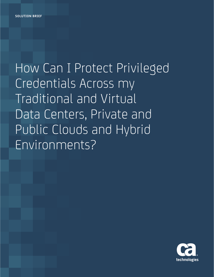How Can I Protect Privileged Credentials Across my Traditional and Virtual Data Centers, Private and Public Clouds and Hybrid Environments?

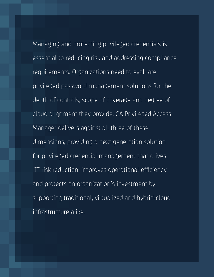dimensions, providing a next-generation solution<br>Notes **Frotective** for privileged credential management that drives IT risk reduction, improves operational efficiency<br>
Patiency<br>
Patience of the set of the set of the set of the set of the set of the set of the set of the set of the set of the set of the set of the set of the set of the s Managing and protecting privileged credentials is essential to reducing risk and addressing compliance requirements. Organizations need to evaluate privileged password management solutions for the depth of controls, scope of coverage and degree of cloud alignment they provide. CA Privileged Access Manager delivers against all three of these and protects an organization's investment by supporting traditional, virtualized and hybrid-cloud infrastructure alike.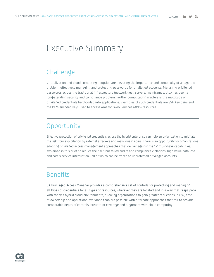# Executive Summary

## Challenge

Virtualization and cloud computing adoption are elevating the importance and complexity of an age-old problem: effectively managing and protecting passwords for privileged accounts. Managing privileged passwords across the traditional infrastructure (network gear, servers, mainframes, etc.) has been a long-standing security and compliance problem. Further complicating matters is the multitude of privileged credentials hard-coded into applications. Examples of such credentials are SSH key pairs and the PEM-encoded keys used to access Amazon Web Services (AWS) resources.

## **Opportunity**

Effective protection of privileged credentials across the hybrid enterprise can help an organization to mitigate the risk from exploitation by external attackers and malicious insiders. There is an opportunity for organizations adopting privileged access management approaches that deliver against the 12 must-have capabilities, explained in this brief, to reduce the risk from failed audits and compliance violations, high value data loss and costly service interruption—all of which can be traced to unprotected privileged accounts.

## **Benefits**

CA Privileged Access Manager provides a comprehensive set of controls for protecting and managing all types of credentials for all types of resources, wherever they are located and in a way that keeps pace with today's hybrid cloud environments, allowing organizations to gain greater reductions in risk, cost of ownership and operational workload than are possible with alternate approaches that fail to provide comparable depth of controls, breadth of coverage and alignment with cloud computing.

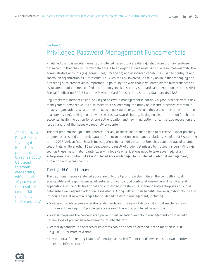### **Section 1:** Privileged Password Management Fundamentals

Privileged user passwords (hereafter, privileged passwords) are distinguished from ordinary end-user passwords in that they uniformly gate access to an organization's most sensitive resources—namely, the administrative accounts (e.g. admin, root, SYS and sa) and associated capabilities used to configure and control an organization's IT infrastructure. Given the risk involved, it's fairly obvious that managing and protecting such credentials is important—a point, by the way, that is validated by the numerous sets of associated requirements codified in commonly invoked security standards and regulations, such as NIST Special Publication 800-53 and the Payment Card Industry Data Security Standard (PCI-DSS).

Regulatory requirements aside, privileged password management is not only a good practice from a risk management perspective, it's also essential to overcoming the litany of insecure practices common in today's organizations. Weak, stale or exposed passwords (e.g., because they are kept on a post-it note or in a spreadsheet), having too many passwords, password sharing, having no clear attribution for shared accounts, having no option for strong authentication and having no option for centralized revocation are just a handful of the issues we routinely encounter.

2015 Verizon Data Breach Investigations Report, 95 percent of breaches could be traced to stolen credentials, while another 10 percent were the result of credential misuse by trusted insiders  $1$  The real problem though is the potential for any of these conditions to lead to successful spear phishing, targeted attacks and ultimately data theft—not to mention compliance violations. Need proof? According to the 2015 Verizon Data Breach Investigations Report, 95 percent of breaches could be traced to stolen credentials, while another 10 percent were the result of credential misuse by trusted insiders.<sup>1</sup> Findings such as these make it abundantly clear why today's organizations need to take advantage of an enterprise-class solution, like CA Privileged Access Manager, for privileged credential management, protection and access control.

#### The Hybrid Cloud Impact

The traditional issues cataloged above are only the tip of the iceberg. Given the compelling cost, adaptability and responsiveness advantages of hybrid cloud configurations—where IT services and applications utilize both traditional and virtualized infrastructure spanning both enterprise and cloud datacenters—widespread adoption is inevitable. Along with all their benefits, however, hybrid clouds also introduce several new challenges for privileged password management, including:

- Greater volume/scale—as operational demands and the ease of deploying virtual machines result in more entities requiring privileged access (and, therefore, privileged passwords)
- Greater scope—as the concentrated power of virtualization and cloud management consoles add a new type of privileged resource/account into the mix
- Greater dynamism—as new servers/systems can be added on-demand, not to mention in bulk (e.g., 10, 20 or more at a time)
- The potential for creating islands of identity—as each different cloud service has its own identity store and infrastructure<sup>2</sup>

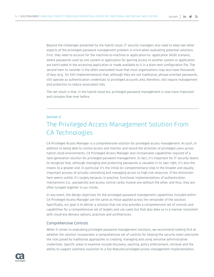Beyond the challenges presented by the hybrid cloud, IT security managers also need to keep two other aspects of the privileged password management problem in mind when evaluating potential solutions. First, they need to account for the machine-to-machine or application-to- application (A2A) scenario, where passwords used by one system or application for gaining access to another system or application are hard-coded in the accessing application or made available to it in a plain-text configuration file. The second item to consider is the often-overlooked issue that most organizations may also have thousands of keys (e.g., for SSH implementations) that, although they are not traditional, phrase-oriented passwords, still operate as authentication credentials to privileged accounts and, therefore, still require management and protection to reduce associated risks.

The net result is that, in the hybrid cloud era, privileged password management is now more important and complex than ever before.

#### **Section 2:**

## The Privileged Access Management Solution From CA Technologies

CA Privileged Access Manager is a comprehensive solution for privileged access management. As such, in addition to being able to control access and monitor and record the activities of privileged users across hybrid cloud environments, CA Privileged Access Manager also incorporates capabilities required of a next-generation solution for privileged password management. In fact, it's important for IT security teams to recognize that, although managing and protecting passwords is valuable in its own right, it's also the means to a greater end. In particular it's the initial (or complementary) step in the broader and equally important process of actually controlling and managing access to high-risk resources. If the distinction here seems subtle, it's largely because, in practice, functional implementations of authentication mechanisms (i.e., passwords) and access control rarely involve one without the other, and thus, they are often lumped together in our minds.

In any event, the design objectives for the privileged password management capabilities included within CA Privileged Access Manager are the same as those applied across the remainder of the solution. Specifically, our goal is to deliver a solution that not only provides a comprehensive set of controls and capabilities for a comprehensive set of targets and use cases but that also does so in a manner consistent with cloud-era delivery options, practices and architectures.

#### Comprehensive Controls

When it comes to evaluating privileged password management solutions, we recommend looking first at whether the solution incorporates a comprehensive set of controls for helping the security team overcome the risks posed by traditional approaches to creating, managing and using sensitive administrative credentials. Specific areas to examine include discovery, vaulting, policy enforcement, retrieval and the ability to support seamless evolution to a full-featured privileged access management implementation.

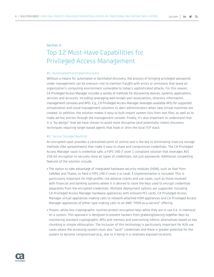#### **Section 3:**

## Top 12 Must-Have Capabilities for Privileged Access Management

#### #1. Automated/Facilitated Discovery

Without a means for automated or facilitated discovery, the process of bringing privileged passwords under management can be onerous—not to mention fraught with errors or omissions that leave an organization's computing environment vulnerable to today's sophisticated attacks. For this reason, CA Privileged Access Manager includes a variety of methods for discovering devices, systems, applications, services and accounts, including leveraging well-known port associations, directory information, management consoles and APIs. E.g., CA Privileged Access Manager leverages available APIs for supported virtualization and cloud management solutions to alert administrators when new virtual machines are created. In addition, the solution makes it easy to bulk-import system lists from text files, as well as to make ad-hoc entries through the management console. Finally, it's also important to understand that it is "by design" that we have chosen to avoid more disruptive (and potentially riskier) discovery techniques requiring target-based agents that hook or shim the local TCP stack.

#### #2. Secure Storage/Vaulting

An encrypted vault provides a centralized point of control and is the key to eliminating insecure storage methods (like spreadsheets) that make it easy to share and compromise credentials. The CA Privileged Access Manager vault is credential safe, a FIPS 140-2 Level 1 compliant solution that leverages AES 256-bit encryption to securely store all types of credentials, not just passwords. Additional compelling features of the solution include:

- The option to take advantage of integrated hardware security modules (HSM), such as that from SafeNet and Thales, to field a FIPS 140-2 Level 2 or Level 3 implementation is included. This is particularly important for high-profile, risk adverse clients and use cases, such as those involved with financial and banking systems where it is desired to store the keys used to encrypt credentials separately from the encrypted credentials. Multiple deployment options are supported, including CA Privileged Access Manager hardware appliances with onboard PCI cards, CA Privileged Access Manager virtual appliances making calls to network-attached HSM appliances and CA Privileged Access Manager appliances of either type making calls to an AWS "HSM-as-a-service" offering.
- Proven, white-box cryptographic routines protect encryption keys while they are in use (i.e. in memory) on a system. This approach is designed to prevent hackers from grabbing/piecing together keys by monitoring standard cryptographic APIs and memory and overcoming inferior alternatives based on key chunking or simple obfuscation. The inclusion of this technology is particularly important for A2A use cases where the accessing system must also "vault" credentials and there is greater potential for the system to become compromised (e.g., due to it being in a relatively exposed location).

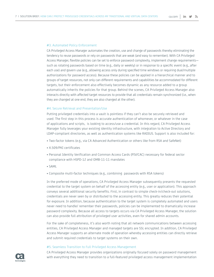#### #3. Automated Policy Enforcement

CA Privileged Access Manager automates the creation, use and change of passwords thereby eliminating the tendency to reuse passwords or rely on passwords that are weak (and easy to remember). With CA Privileged Access Manager, flexible policies can be set to enforce password complexity, implement change requirements such as rotating passwords based on time (e.g., daily or weekly) or in response to a specific event (e.g., after each use) and govern use (e.g., allowing access only during specified time windows or requiring dual/multiple authorizations for password access). Because these policies can be applied in a hierarchical manner and to groups of target resources, not only can different requirements and capabilities be accommodated for different targets, but their enforcement also effectively becomes dynamic as any resource added to a group automatically inherits the policies for that group. Behind the scenes, CA Privileged Access Manager also interacts directly with affected target resources to provide that all credentials remain synchronized (i.e., when they are changed at one end, they are also changed at the other).

#### #4. Secure Retrieval and Presentation/Use

Putting privileged credentials into a vault is pointless if they can't also be securely retrieved and used. The first step in this process is accurate authentication of whomever, or whatever in the case of applications and scripts, is looking to access/use a credential. In this regard, CA Privileged Access Manager fully leverages your existing identity infrastructure, with integration to Active Directory and LDAP-compliant directories, as well as authentication systems like RADIUS. Support is also included for:

- Two-factor tokens (e.g., via CA Advanced Authentication or others like from RSA and SafeNet)
- X.509/PKI certificates
- Personal Identity Verification and Common Access Cards (PIV/CAC) necessary for federal sector compliance with HSPD-12 and OMB-11-11 mandates
- SAML
- Composite multi-factor techniques (e.g., combining passwords with RSA tokens)

In the preferred mode of operations, CA Privileged Access Manager subsequently presents the requested credential to the target system on behalf of the accessing entity (e.g., user or application). This approach conveys several additional security benefits. First, in contrast to simple check-in/check-out solutions, credentials are never seen by or distributed to the accessing entity. This greatly reduces their potential for exposure. In addition, because authentication to the target system is completely automated and users never need to handle/ remember their passwords, policies can be implemented to dramatically increase password complexity. Because all access to targets occurs via CA Privileged Access Manager, the solution can also provide full attribution of privileged user activities, even for shared admin accounts.

For the sake of completeness, it's also worth noting that all network communications between accessing entities, CA Privileged Access Manager and managed targets are SSL encrypted. In addition, CA Privileged Access Manager supports an alternate mode of operation whereby accessing entities can directly retrieve and submit required credentials to target systems on their own.

#### #5. Seamless Transition to Full Privileged Access Management

CA Privileged Access Manager provides organizations originally focused solely on password management with everything they need to transition to a full-featured privileged access management implementation

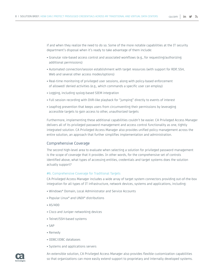if and when they realize the need to do so. Some of the more notable capabilities at the IT security department's disposal when it's ready to take advantage of them include:

- Granular role-based access control and associated workflows (e.g., for requesting/authorizing additional permissions)
- Automated connection/session establishment with target resources (with support for RDP, SSH, Web and several other access modes/options)
- Real-time monitoring of privileged user sessions, along with policy-based enforcement of allowed/ denied activities (e.g., which commands a specific user can employ)
- Logging, including syslog-based SIEM integration
- Full session recording with DVR-like playback for "jumping" directly to events of interest
- Leapfrog prevention that keeps users from circumventing their permissions by leveraging accessible targets to gain access to other, unauthorized targets

Furthermore, implementing these additional capabilities couldn't be easier. CA Privileged Access Manager delivers all of its privileged password management and access control functionality as one, tightly integrated solution. CA Privileged Access Manager also provides unified policy management across the entire solution, an approach that further simplifies implementation and administration.

#### Comprehensive Coverage

The second high-level area to evaluate when selecting a solution for privileged password management is the scope of coverage that it provides. In other words, for the comprehensive set of controls identified above, what types of accessing entities, credentials and target systems does the solution actually support?

#### #6. Comprehensive Coverage for Traditional Targets

CA Privileged Access Manager includes a wide array of target system connectors providing out-of-the-box integration for all types of IT infrastructure, network devices, systems and applications, including:

- Windows® Domain, Local Administrator and Service Accounts
- Popular Linux® and UNIX® distributions
- AS/400
- Cisco and Juniper networking devices
- Telnet/SSH-based systems
- SAP
- Remedy
- ODBC/JDBC databases
- Systems and applications servers



An extensible solution, CA Privileged Access Manager also provides flexible customization capabilities so that organizations can more easily extend support to proprietary and internally developed systems.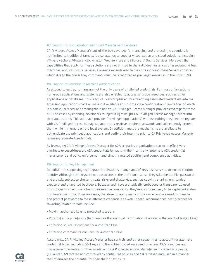#### #7. Support for Virtualization and Cloud Management Consoles

CA Privileged Access Manager's out-of-the-box coverage for managing and protecting credentials is not limited to traditional targets; it also extends to popular virtualization and cloud solutions, including VMware vSphere, VMware NSX, Amazon Web Services and Microsoft® Online Services. Moreover, the capabilities that apply for these solutions are not limited to the individual instances of associated virtual machines, applications or services. Coverage extends also to the corresponding management consoles, which due to the power they command, must be recognized as privileged resources in their own right.

#### #8. Support for Machine to Machine Authentication

As alluded to earlier, humans are not the only users of privileged credentials. For most organizations, numerous applications and systems are also enabled to access sensitive resources, such as other applications or databases. This is typically accomplished by embedding associated credentials into the accessing application's code or making it available at run-time via a configuration file—neither of which is a particularly secure or manageable option. CA Privileged Access Manager provides coverage for these A2A use cases by enabling developers to inject a lightweight CA Privileged Access Manager client into their applications. This approach provides "privileged applications" with everything they need to register with CA Privileged Access Manager, dynamically retrieve required passwords and subsequently protect them while in memory on the local system. In addition, multiple mechanisms are available to authenticate the privileged applications and verify their integrity prior to CA Privileged Access Manager releasing requested credentials.

By leveraging CA Privileged Access Manager for A2A scenarios organizations can more effectively eliminate exposed/insecure A2A credentials by vaulting them centrally, automate A2A credential management and policy enforcement and simplify related auditing and compliance activities.

#### #9. Support for Key Management

In addition to supporting cryptographic operations, many types of keys also serve as tokens to confirm identity. Although such keys are not passwords in the traditional sense, they still operate like passwords and are still subject to similar threats, risks and challenges, such as copying, sharing, unintended exposure and unaudited backdoors. Because such keys are typically embedded or transparently used in solutions to shield users from their relative complexity, they're also more likely to be orphaned and/or proliferate over time. It makes sense, therefore, to apply many of the same controls used to manage and protect passwords to these alternate credentials as well. Indeed, recommended best practices for thwarting related threats include:

- Moving authorized keys to protected locations
- Rotating all keys regularly (to guarantee the eventual termination of access in the event of leaked keys)
- Enforcing source restrictions for authorized keys<sup>3</sup>
- Enforcing command restrictions for authorized keys

Accordingly, CA Privileged Access Manager has controls and other capabilities to account for alternate credential types, including SSH keys and the PEM-encoded keys used to access AWS resources and management consoles. In other words, with CA Privileged Access Manager such credentials can be: (1) vaulted, (2) rotated and controlled by configured policies and (3) retrieved and used in a manner that minimizes the potential for their theft or exposure.

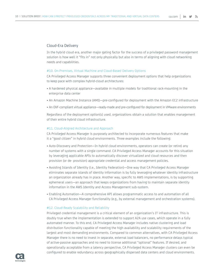#### Cloud-Era Delivery

In the hybrid cloud era, another major gating factor for the success of a privileged password management solution is how well it "fits in" not only physically but also in terms of aligning with cloud networking needs and capabilities.

#### #10. On-Premises, Virtual Machine and Cloud-Based Delivery Options

CA Privileged Access Manager supports three convenient deployment options that help organizations to keep pace with complex hybrid-cloud architectures:

- A hardened physical appliance—available in multiple models for traditional rack-mounting in the enterprise data center
- An Amazon Machine Instance (AMI)—pre-configured for deployment with the Amazon EC2 infrastructure
- An OVF-compliant virtual appliance—ready-made and pre-configured for deployment in VMware environments

Regardless of the deployment option(s) used, organizations obtain a solution that enables management of their entire hybrid cloud infrastructure.

#### #11. Cloud-Aligned Architecture and Approach

CA Privileged Access Manager is purposely architected to incorporate numerous features that make it a "good citizen" in hybrid cloud environments. Three examples include the following:

- Auto-Discovery and Protection—In hybrid cloud environments, operators can create (or retire) any number of systems with a single command. CA Privileged Access Manager accounts for this situation by leveraging applicable APIs to automatically discover virtualized and cloud resources and then provision (or de- provision) appropriate credential and access management policies.
- Avoiding Islands of Identity (i.e., Identity Federation)—One way that CA Privileged Access Manager eliminates separate islands of identity information is by fully leveraging whatever identity infrastructure an organization already has in place. Another way, specific to AWS implementations, is by supporting ephemeral users—an approach that keeps organizations from having to maintain separate identity information in the AWS Identity and Access Management sub-system.
- Enabling Automation—A comprehensive API allows programmatic access to and automation of all CA Privileged Access Manager functionality (e.g., by external management and orchestration systems).

#### #12. Cloud-Ready Scalability and Reliability

Privileged credential management is a critical element of an organization's IT infrastructure. This is doubly true when the implementation is extended to support A2A use cases, which operate in a fully automated manner. To this end, CA Privileged Access Manager includes native clustering and load distribution functionality capable of meeting the high availability and scalability requirements of the largest and most demanding environments. Compared to common alternatives, with CA Privileged Access Manager there is no need to invest in separate, external load balancers, no performance delays typical of active-passive approaches and no need to license additional "optional" features. If desired, and operationally acceptable from a latency perspective, CA Privileged Access Manager clusters can even be configured to enable redundancy across geographically dispersed data centers and cloud environments.